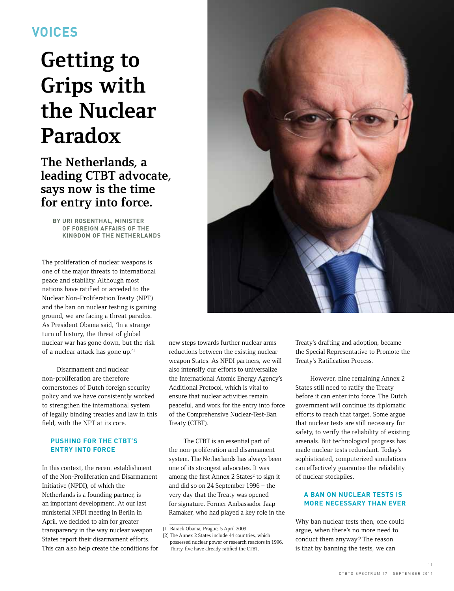# **voices**

# **Getting to Grips with the Nuclear Paradox**

**The Netherlands, a leading CTBT advocate, says now is the time for entry into force.**

> **By Uri Rosenthal, Minister of Foreign Affairs of the Kingdom of the Netherlands**

The proliferation of nuclear weapons is one of the major threats to international peace and stability. Although most nations have ratified or acceded to the Nuclear Non-Proliferation Treaty (NPT) and the ban on nuclear testing is gaining ground, we are facing a threat paradox. As President Obama said, 'In a strange turn of history, the threat of global nuclear war has gone down, but the risk of a nuclear attack has gone up.'1

Disarmament and nuclear non-proliferation are therefore cornerstones of Dutch foreign security policy and we have consistently worked to strengthen the international system of legally binding treaties and law in this field, with the NPT at its core.

# **Pushing for the CTBT's entry into force**

In this context, the recent establishment of the Non-Proliferation and Disarmament Initiative (NPDI), of which the Netherlands is a founding partner, is an important development. At our last ministerial NPDI meeting in Berlin in April, we decided to aim for greater transparency in the way nuclear weapon States report their disarmament efforts. This can also help create the conditions for



new steps towards further nuclear arms reductions between the existing nuclear weapon States. As NPDI partners, we will also intensify our efforts to universalize the International Atomic Energy Agency's Additional Protocol, which is vital to ensure that nuclear activities remain peaceful, and work for the entry into force of the Comprehensive Nuclear-Test-Ban Treaty (CTBT).

The CTBT is an essential part of the non-proliferation and disarmament system. The Netherlands has always been one of its strongest advocates. It was among the first Annex 2 States<sup>2</sup> to sign it and did so on 24 September 1996 – the very day that the Treaty was opened for signature. Former Ambassador Jaap Ramaker, who had played a key role in the

 $\overline{\phantom{a}}$  ,  $\overline{\phantom{a}}$  ,  $\overline{\phantom{a}}$  ,  $\overline{\phantom{a}}$  ,  $\overline{\phantom{a}}$  ,  $\overline{\phantom{a}}$  ,  $\overline{\phantom{a}}$  ,  $\overline{\phantom{a}}$  ,  $\overline{\phantom{a}}$  ,  $\overline{\phantom{a}}$  ,  $\overline{\phantom{a}}$  ,  $\overline{\phantom{a}}$  ,  $\overline{\phantom{a}}$  ,  $\overline{\phantom{a}}$  ,  $\overline{\phantom{a}}$  ,  $\overline{\phantom{a}}$ 

[2] The Annex 2 States include 44 countries, which possessed nuclear power or research reactors in 1996. Thirty-five have already ratified the CTBT.

Treaty's drafting and adoption, became the Special Representative to Promote the Treaty's Ratification Process.

However, nine remaining Annex 2 States still need to ratify the Treaty before it can enter into force. The Dutch government will continue its diplomatic efforts to reach that target. Some argue that nuclear tests are still necessary for safety, to verify the reliability of existing arsenals. But technological progress has made nuclear tests redundant. Today's sophisticated, computerized simulations can effectively guarantee the reliability of nuclear stockpiles.

# **A ban on nuclear tests is more necessary than ever**

Why ban nuclear tests then, one could argue, when there's no more need to conduct them anyway? The reason is that by banning the tests, we can

1 1

<sup>[1]</sup> Barack Obama, Prague, 5 April 2009.